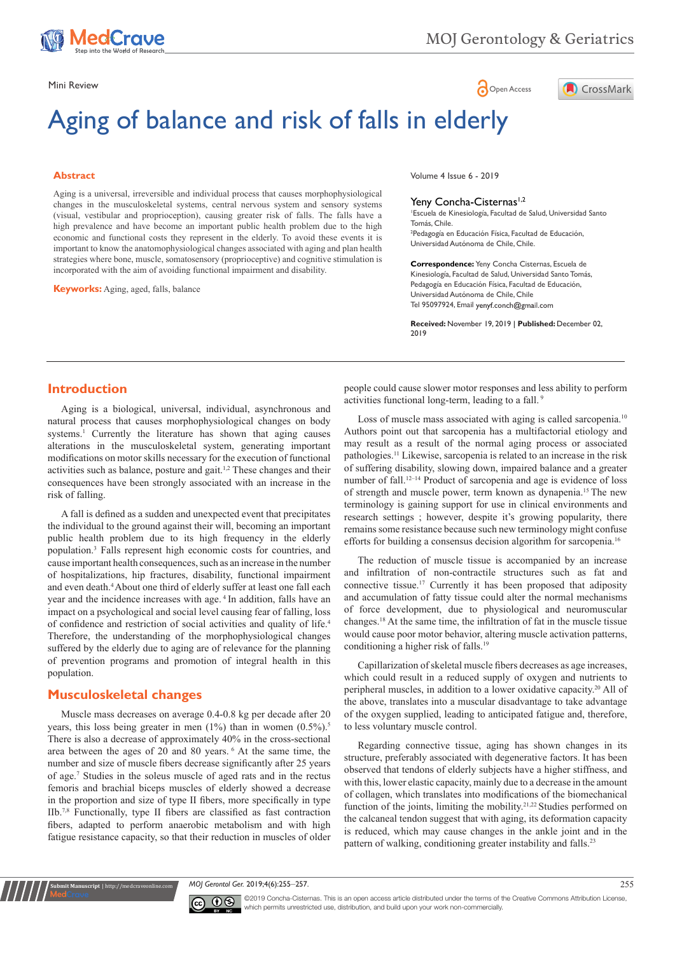

**A** CrossMark

Mini Review **Open Access** 

# Aging of balance and risk of falls in elderly

#### **Abstract**

Aging is a universal, irreversible and individual process that causes morphophysiological changes in the musculoskeletal systems, central nervous system and sensory systems (visual, vestibular and proprioception), causing greater risk of falls. The falls have a high prevalence and have become an important public health problem due to the high economic and functional costs they represent in the elderly. To avoid these events it is important to know the anatomophysiological changes associated with aging and plan health strategies where bone, muscle, somatosensory (proprioceptive) and cognitive stimulation is incorporated with the aim of avoiding functional impairment and disability.

**Keyworks:** Aging, aged, falls, balance

Volume 4 Issue 6 - 2019

#### Yeny Concha-Cisternas<sup>1,2</sup>

1 Escuela de Kinesiología, Facultad de Salud, Universidad Santo Tomás, Chile. 2 Pedagogía en Educación Física, Facultad de Educación, Universidad Autónoma de Chile, Chile.

**Correspondence:** Yeny Concha Cisternas, Escuela de Kinesiología, Facultad de Salud, Universidad Santo Tomás, Pedagogía en Educación Física, Facultad de Educación, Universidad Autónoma de Chile, Chile Tel 95097924, Email yenyf.conch@gmail.com

**Received:** November 19, 2019 | **Published:** December 02, 2019

## **Introduction**

Aging is a biological, universal, individual, asynchronous and natural process that causes morphophysiological changes on body systems.<sup>1</sup> Currently the literature has shown that aging causes alterations in the musculoskeletal system, generating important modifications on motor skills necessary for the execution of functional activities such as balance, posture and gait.1,2 These changes and their consequences have been strongly associated with an increase in the risk of falling.

A fall is defined as a sudden and unexpected event that precipitates the individual to the ground against their will, becoming an important public health problem due to its high frequency in the elderly population.3 Falls represent high economic costs for countries, and cause important health consequences, such as an increase in the number of hospitalizations, hip fractures, disability, functional impairment and even death.<sup>4</sup> About one third of elderly suffer at least one fall each year and the incidence increases with age. 4 In addition, falls have an impact on a psychological and social level causing fear of falling, loss of confidence and restriction of social activities and quality of life.<sup>4</sup> Therefore, the understanding of the morphophysiological changes suffered by the elderly due to aging are of relevance for the planning of prevention programs and promotion of integral health in this population.

#### **Musculoskeletal changes**

**it Manuscript** | http://medcraveonline.

Muscle mass decreases on average 0.4-0.8 kg per decade after 20 years, this loss being greater in men  $(1\%)$  than in women  $(0.5\%)$ .<sup>5</sup> There is also a decrease of approximately 40% in the cross-sectional area between the ages of 20 and 80 years. 6 At the same time, the number and size of muscle fibers decrease significantly after 25 years of age.<sup>7</sup> Studies in the soleus muscle of aged rats and in the rectus femoris and brachial biceps muscles of elderly showed a decrease in the proportion and size of type II fibers, more specifically in type IIb.7,8 Functionally, type II fibers are classified as fast contraction fibers, adapted to perform anaerobic metabolism and with high fatigue resistance capacity, so that their reduction in muscles of older people could cause slower motor responses and less ability to perform activities functional long-term, leading to a fall.<sup>9</sup>

Loss of muscle mass associated with aging is called sarcopenia.<sup>10</sup> Authors point out that sarcopenia has a multifactorial etiology and may result as a result of the normal aging process or associated pathologies.11 Likewise, sarcopenia is related to an increase in the risk of suffering disability, slowing down, impaired balance and a greater number of fall.<sup>12–14</sup> Product of sarcopenia and age is evidence of loss of strength and muscle power, term known as dynapenia.15 The new terminology is gaining support for use in clinical environments and research settings ; however, despite it's growing popularity, there remains some resistance because such new terminology might confuse efforts for building a consensus decision algorithm for sarcopenia.<sup>16</sup>

The reduction of muscle tissue is accompanied by an increase and infiltration of non-contractile structures such as fat and connective tissue.17 Currently it has been proposed that adiposity and accumulation of fatty tissue could alter the normal mechanisms of force development, due to physiological and neuromuscular changes.18 At the same time, the infiltration of fat in the muscle tissue would cause poor motor behavior, altering muscle activation patterns, conditioning a higher risk of falls.<sup>19</sup>

Capillarization of skeletal muscle fibers decreases as age increases, which could result in a reduced supply of oxygen and nutrients to peripheral muscles, in addition to a lower oxidative capacity.<sup>20</sup> All of the above, translates into a muscular disadvantage to take advantage of the oxygen supplied, leading to anticipated fatigue and, therefore, to less voluntary muscle control.

Regarding connective tissue, aging has shown changes in its structure, preferably associated with degenerative factors. It has been observed that tendons of elderly subjects have a higher stiffness, and with this, lower elastic capacity, mainly due to a decrease in the amount of collagen, which translates into modifications of the biomechanical function of the joints, limiting the mobility.<sup>21,22</sup> Studies performed on the calcaneal tendon suggest that with aging, its deformation capacity is reduced, which may cause changes in the ankle joint and in the pattern of walking, conditioning greater instability and falls.<sup>23</sup>

*MOJ Gerontol Ger.* 2019;4(6):255‒257. 255



©2019 Concha-Cisternas. This is an open access article distributed under the terms of the [Creative Commons Attribution License](https://creativecommons.org/licenses/by-nc/4.0/), which permits unrestricted use, distribution, and build upon your work non-commercially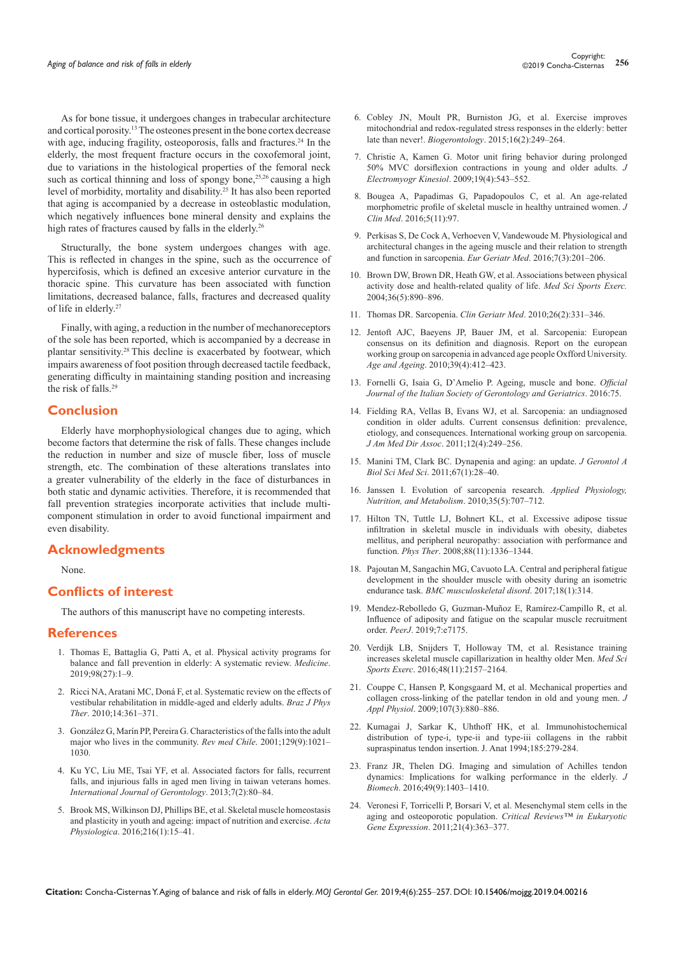As for bone tissue, it undergoes changes in trabecular architecture and cortical porosity.13 The osteones present in the bone cortex decrease with age, inducing fragility, osteoporosis, falls and fractures.<sup>24</sup> In the elderly, the most frequent fracture occurs in the coxofemoral joint, due to variations in the histological properties of the femoral neck such as cortical thinning and loss of spongy bone,<sup>25,26</sup> causing a high level of morbidity, mortality and disability.25 It has also been reported that aging is accompanied by a decrease in osteoblastic modulation, which negatively influences bone mineral density and explains the high rates of fractures caused by falls in the elderly.<sup>26</sup>

Structurally, the bone system undergoes changes with age. This is reflected in changes in the spine, such as the occurrence of hypercifosis, which is defined an excesive anterior curvature in the thoracic spine. This curvature has been associated with function limitations, decreased balance, falls, fractures and decreased quality of life in elderly.<sup>27</sup>

Finally, with aging, a reduction in the number of mechanoreceptors of the sole has been reported, which is accompanied by a decrease in plantar sensitivity.28 This decline is exacerbated by footwear, which impairs awareness of foot position through decreased tactile feedback, generating difficulty in maintaining standing position and increasing the risk of falls.<sup>29</sup>

### **Conclusion**

Elderly have morphophysiological changes due to aging, which become factors that determine the risk of falls. These changes include the reduction in number and size of muscle fiber, loss of muscle strength, etc. The combination of these alterations translates into a greater vulnerability of the elderly in the face of disturbances in both static and dynamic activities. Therefore, it is recommended that fall prevention strategies incorporate activities that include multicomponent stimulation in order to avoid functional impairment and even disability.

## **Acknowledgments**

None.

#### **Conflicts of interest**

The authors of this manuscript have no competing interests.

#### **References**

- 1. [Thomas E, Battaglia G, Patti A, et al. Physical activity programs for](https://www.ncbi.nlm.nih.gov/pubmed/31277132)  [balance and fall prevention in elderly: A systematic review.](https://www.ncbi.nlm.nih.gov/pubmed/31277132) *Medicine*. [2019;98\(27\):1–9.](https://www.ncbi.nlm.nih.gov/pubmed/31277132)
- 2. Ricci NA, Aratani MC, Doná [F, et al. Systematic review on the effects of](http://www.scielo.br/scielo.php?script=sci_arttext&pid=S1413-35552010000500003)  [vestibular rehabilitation in middle-aged and elderly adults.](http://www.scielo.br/scielo.php?script=sci_arttext&pid=S1413-35552010000500003) *Braz J Phys Ther*[. 2010;14:361–371.](http://www.scielo.br/scielo.php?script=sci_arttext&pid=S1413-35552010000500003)
- 3. Gonzá[lez G, Marín PP, Pereira G. Characteristics of the falls into the adult](https://scielo.conicyt.cl/scielo.php?script=sci_arttext&pid=S0034-98872001000900007)  [major who lives in the community.](https://scielo.conicyt.cl/scielo.php?script=sci_arttext&pid=S0034-98872001000900007) *Rev med Chile*. 2001;129(9):1021– [1030.](https://scielo.conicyt.cl/scielo.php?script=sci_arttext&pid=S0034-98872001000900007)
- 4. [Ku YC, Liu ME, Tsai YF, et al. Associated factors for falls, recurrent](https://www.sciencedirect.com/science/article/pii/S1873959812001007)  [falls, and injurious falls in aged men living in taiwan veterans homes.](https://www.sciencedirect.com/science/article/pii/S1873959812001007)  *[International Journal of Gerontology](https://www.sciencedirect.com/science/article/pii/S1873959812001007)*. 2013;7(2):80–84.
- 5. [Brook MS, Wilkinson DJ, Phillips BE, et al. Skeletal muscle homeostasis](https://www.ncbi.nlm.nih.gov/pubmed/26010896)  [and plasticity in youth and ageing: impact of nutrition and exercise.](https://www.ncbi.nlm.nih.gov/pubmed/26010896) *Acta Physiologica*[. 2016;216\(1\):15–41.](https://www.ncbi.nlm.nih.gov/pubmed/26010896)
- 6. [Cobley JN, Moult PR, Burniston JG, et al. Exercise improves](https://www.ncbi.nlm.nih.gov/pubmed/25537184)  [mitochondrial and redox-regulated stress responses in the elderly: better](https://www.ncbi.nlm.nih.gov/pubmed/25537184)  late than never!. *Biogerontology*[. 2015;16\(2\):249–264.](https://www.ncbi.nlm.nih.gov/pubmed/25537184)
- 7. [Christie A, Kamen G. Motor unit firing behavior during prolonged](https://www.ncbi.nlm.nih.gov/pubmed/18448360)  [50% MVC dorsiflexion contractions in young and older adults.](https://www.ncbi.nlm.nih.gov/pubmed/18448360) *J [Electromyogr Kinesiol](https://www.ncbi.nlm.nih.gov/pubmed/18448360)*. 2009;19(4):543–552.
- 8. [Bougea A, Papadimas G, Papadopoulos C, et al. An age-related](https://www.ncbi.nlm.nih.gov/pmc/articles/PMC5126794/)  [morphometric profile of skeletal muscle in healthy untrained women.](https://www.ncbi.nlm.nih.gov/pmc/articles/PMC5126794/) *J Clin Med*[. 2016;5\(11\):97.](https://www.ncbi.nlm.nih.gov/pmc/articles/PMC5126794/)
- 9. [Perkisas S, De Cock A, Verhoeven V, Vandewoude M. Physiological and](https://www.sciencedirect.com/science/article/abs/pii/S1878764916000073)  [architectural changes in the ageing muscle and their relation to strength](https://www.sciencedirect.com/science/article/abs/pii/S1878764916000073)  [and function in sarcopenia.](https://www.sciencedirect.com/science/article/abs/pii/S1878764916000073) *Eur Geriatr Med*. 2016;7(3):201–206.
- 10. [Brown DW, Brown DR, Heath GW, et al. Associations between physical](https://www.ncbi.nlm.nih.gov/pubmed/15126726)  [activity dose and health-related quality of life.](https://www.ncbi.nlm.nih.gov/pubmed/15126726) *Med Sci Sports Exerc.* [2004;36\(5\):890–896](https://www.ncbi.nlm.nih.gov/pubmed/15126726).
- 11. [Thomas DR. Sarcopenia.](https://www.ncbi.nlm.nih.gov/pubmed/25568649/) *Clin Geriatr Med*. 2010;26(2):331–346.
- 12. [Jentoft AJC, Baeyens JP, Bauer JM, et al. Sarcopenia: European](http://www.sagg.org.ar/wp/wp-content/uploads/2015/11/Consenso-2010-Sarcopenia-Age-and-aging.pdf)  [consensus on its definition and diagnosis. Report on the european](http://www.sagg.org.ar/wp/wp-content/uploads/2015/11/Consenso-2010-Sarcopenia-Age-and-aging.pdf)  [working group on sarcopenia in advanced age people Oxfford University.](http://www.sagg.org.ar/wp/wp-content/uploads/2015/11/Consenso-2010-Sarcopenia-Age-and-aging.pdf)  *Age and Ageing*[. 2010;39\(4\):412–423.](http://www.sagg.org.ar/wp/wp-content/uploads/2015/11/Consenso-2010-Sarcopenia-Age-and-aging.pdf)
- 13. [Fornelli G, Isaia G, D'Amelio P. Ageing, muscle and bone.](http://www.jgerontology-geriatrics.com/wp-content/uploads/2016/09/RivJGG_3_16.pdf) *Official [Journal of the Italian Society of Gerontology and Geriatrics](http://www.jgerontology-geriatrics.com/wp-content/uploads/2016/09/RivJGG_3_16.pdf)*. 2016:75.
- 14. [Fielding RA, Vellas B, Evans WJ, et al. Sarcopenia: an undiagnosed](https://www.ncbi.nlm.nih.gov/pubmed/21527165)  [condition in older adults. Current consensus definition: prevalence,](https://www.ncbi.nlm.nih.gov/pubmed/21527165)  [etiology, and consequences. International working group on sarcopenia.](https://www.ncbi.nlm.nih.gov/pubmed/21527165)  *J Am Med Dir Assoc*[. 2011;12\(4\):249–256.](https://www.ncbi.nlm.nih.gov/pubmed/21527165)
- 15. [Manini TM, Clark BC. Dynapenia and aging: an update.](https://www.ncbi.nlm.nih.gov/pubmed/21444359) *J Gerontol A Biol Sci Med Sci*[. 2011;67\(1\):28–40.](https://www.ncbi.nlm.nih.gov/pubmed/21444359)
- 16. Janssen I. Evolution of sarcopenia research. *Applied Physiology, Nutrition, and Metabolism*. 2010;35(5):707–712.
- 17. [Hilton TN, Tuttle LJ, Bohnert KL, et al. Excessive adipose tissue](https://www.ncbi.nlm.nih.gov/pubmed/18801853)  [infiltration in skeletal muscle in individuals with obesity, diabetes](https://www.ncbi.nlm.nih.gov/pubmed/18801853)  [mellitus, and peripheral neuropathy: association with performance and](https://www.ncbi.nlm.nih.gov/pubmed/18801853)  function. *Phys Ther*[. 2008;88\(11\):1336–1344.](https://www.ncbi.nlm.nih.gov/pubmed/18801853)
- 18. [Pajoutan M, Sangachin MG, Cavuoto LA. Central and peripheral fatigue](https://www.ncbi.nlm.nih.gov/pubmed/28732481)  [development in the shoulder muscle with obesity during an isometric](https://www.ncbi.nlm.nih.gov/pubmed/28732481)  endurance task. *[BMC musculoskeletal disord](https://www.ncbi.nlm.nih.gov/pubmed/28732481)*. 2017;18(1):314.
- 19. [Mendez-Rebolledo G, Guzman-Muñoz E, Ramírez-Campillo R, et al.](https://www.ncbi.nlm.nih.gov/pubmed/31275760)  [Influence of adiposity and fatigue on the scapular muscle recruitment](https://www.ncbi.nlm.nih.gov/pubmed/31275760)  order. *PeerJ*[. 2019;7:e7175.](https://www.ncbi.nlm.nih.gov/pubmed/31275760)
- 20. [Verdijk LB, Snijders T, Holloway TM, et al. Resistance training](https://www.ncbi.nlm.nih.gov/pubmed/27327032)  [increases skeletal muscle capillarization in healthy older Men.](https://www.ncbi.nlm.nih.gov/pubmed/27327032) *Med Sci Sports Exerc*[. 2016;48\(11\):2157–2164.](https://www.ncbi.nlm.nih.gov/pubmed/27327032)
- 21. [Couppe C, Hansen P, Kongsgaard M, et al. Mechanical properties and](https://www.ncbi.nlm.nih.gov/pubmed/19556458)  [collagen cross-linking of the patellar tendon in old and young men.](https://www.ncbi.nlm.nih.gov/pubmed/19556458) *J Appl Physiol*[. 2009;107\(3\):880–886.](https://www.ncbi.nlm.nih.gov/pubmed/19556458)
- 22. [Kumagai J, Sarkar K, Uhthoff HK, et al. Immunohistochemical](https://www.ncbi.nlm.nih.gov/pubmed/7961134)  [distribution of type-i, type-ii and type-iii collagens in the rabbit](https://www.ncbi.nlm.nih.gov/pubmed/7961134)  [supraspinatus tendon insertion. J. Anat 1994;185:279-284.](https://www.ncbi.nlm.nih.gov/pubmed/7961134)
- 23. [Franz JR, Thelen DG. Imaging and simulation of Achilles tendon](https://www.ncbi.nlm.nih.gov/pubmed/27209552)  [dynamics: Implications for walking performance in the elderly.](https://www.ncbi.nlm.nih.gov/pubmed/27209552) *J Biomech*[. 2016;49\(9\):1403–1410.](https://www.ncbi.nlm.nih.gov/pubmed/27209552)
- 24. [Veronesi F, Torricelli P, Borsari V, et al. Mesenchymal stem cells in the](https://www.ncbi.nlm.nih.gov/pubmed/22181705)  [aging and osteoporotic population.](https://www.ncbi.nlm.nih.gov/pubmed/22181705) *Critical Reviews™ in Eukaryotic Gene Expression*[. 2011;21\(4\):363–377.](https://www.ncbi.nlm.nih.gov/pubmed/22181705)